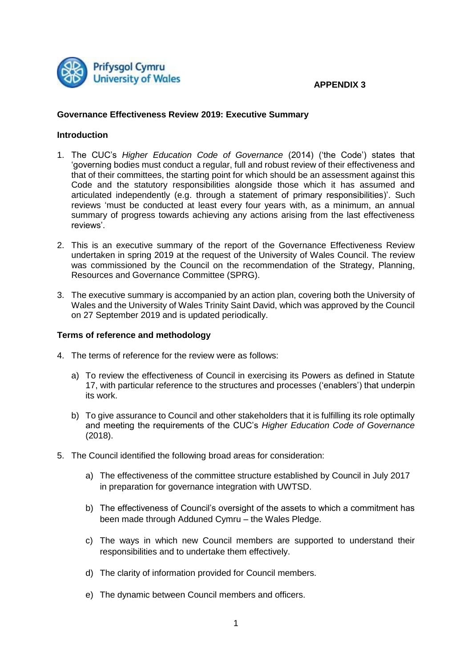

## **APPENDIX 3**

## **Governance Effectiveness Review 2019: Executive Summary**

# **Introduction**

- 1. The CUC's *Higher Education Code of Governance* (2014) ('the Code') states that 'governing bodies must conduct a regular, full and robust review of their effectiveness and that of their committees, the starting point for which should be an assessment against this Code and the statutory responsibilities alongside those which it has assumed and articulated independently (e.g. through a statement of primary responsibilities)'. Such reviews 'must be conducted at least every four years with, as a minimum, an annual summary of progress towards achieving any actions arising from the last effectiveness reviews'.
- 2. This is an executive summary of the report of the Governance Effectiveness Review undertaken in spring 2019 at the request of the University of Wales Council. The review was commissioned by the Council on the recommendation of the Strategy, Planning, Resources and Governance Committee (SPRG).
- 3. The executive summary is accompanied by an action plan, covering both the University of Wales and the University of Wales Trinity Saint David, which was approved by the Council on 27 September 2019 and is updated periodically.

#### **Terms of reference and methodology**

- 4. The terms of reference for the review were as follows:
	- a) To review the effectiveness of Council in exercising its Powers as defined in Statute 17, with particular reference to the structures and processes ('enablers') that underpin its work.
	- b) To give assurance to Council and other stakeholders that it is fulfilling its role optimally and meeting the requirements of the CUC's *Higher Education Code of Governance* (2018).
- 5. The Council identified the following broad areas for consideration:
	- a) The effectiveness of the committee structure established by Council in July 2017 in preparation for governance integration with UWTSD.
	- b) The effectiveness of Council's oversight of the assets to which a commitment has been made through Adduned Cymru – the Wales Pledge.
	- c) The ways in which new Council members are supported to understand their responsibilities and to undertake them effectively.
	- d) The clarity of information provided for Council members.
	- e) The dynamic between Council members and officers.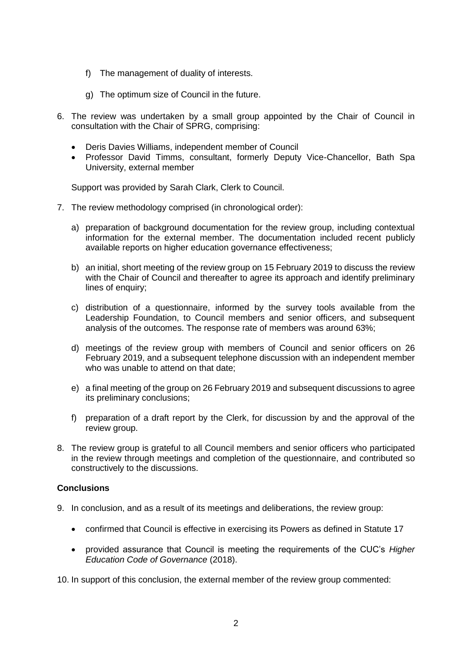- f) The management of duality of interests.
- g) The optimum size of Council in the future.
- 6. The review was undertaken by a small group appointed by the Chair of Council in consultation with the Chair of SPRG, comprising:
	- Deris Davies Williams, independent member of Council
	- Professor David Timms, consultant, formerly Deputy Vice-Chancellor, Bath Spa University, external member

Support was provided by Sarah Clark, Clerk to Council.

- 7. The review methodology comprised (in chronological order):
	- a) preparation of background documentation for the review group, including contextual information for the external member. The documentation included recent publicly available reports on higher education governance effectiveness;
	- b) an initial, short meeting of the review group on 15 February 2019 to discuss the review with the Chair of Council and thereafter to agree its approach and identify preliminary lines of enquiry;
	- c) distribution of a questionnaire, informed by the survey tools available from the Leadership Foundation, to Council members and senior officers, and subsequent analysis of the outcomes. The response rate of members was around 63%;
	- d) meetings of the review group with members of Council and senior officers on 26 February 2019, and a subsequent telephone discussion with an independent member who was unable to attend on that date:
	- e) a final meeting of the group on 26 February 2019 and subsequent discussions to agree its preliminary conclusions;
	- f) preparation of a draft report by the Clerk, for discussion by and the approval of the review group.
- 8. The review group is grateful to all Council members and senior officers who participated in the review through meetings and completion of the questionnaire, and contributed so constructively to the discussions.

# **Conclusions**

- 9. In conclusion, and as a result of its meetings and deliberations, the review group:
	- confirmed that Council is effective in exercising its Powers as defined in Statute 17
	- provided assurance that Council is meeting the requirements of the CUC's *Higher Education Code of Governance* (2018).

10. In support of this conclusion, the external member of the review group commented: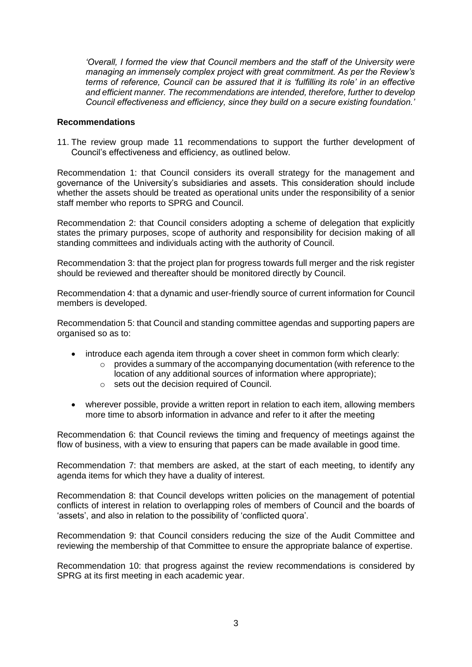*'Overall, I formed the view that Council members and the staff of the University were managing an immensely complex project with great commitment. As per the Review's terms of reference, Council can be assured that it is 'fulfilling its role' in an effective and efficient manner. The recommendations are intended, therefore, further to develop Council effectiveness and efficiency, since they build on a secure existing foundation.'*

#### **Recommendations**

11. The review group made 11 recommendations to support the further development of Council's effectiveness and efficiency, as outlined below.

Recommendation 1: that Council considers its overall strategy for the management and governance of the University's subsidiaries and assets. This consideration should include whether the assets should be treated as operational units under the responsibility of a senior staff member who reports to SPRG and Council.

Recommendation 2: that Council considers adopting a scheme of delegation that explicitly states the primary purposes, scope of authority and responsibility for decision making of all standing committees and individuals acting with the authority of Council.

Recommendation 3: that the project plan for progress towards full merger and the risk register should be reviewed and thereafter should be monitored directly by Council.

Recommendation 4: that a dynamic and user-friendly source of current information for Council members is developed.

Recommendation 5: that Council and standing committee agendas and supporting papers are organised so as to:

- introduce each agenda item through a cover sheet in common form which clearly:
	- $\circ$  provides a summary of the accompanying documentation (with reference to the location of any additional sources of information where appropriate);
	- o sets out the decision required of Council.
- wherever possible, provide a written report in relation to each item, allowing members more time to absorb information in advance and refer to it after the meeting

Recommendation 6: that Council reviews the timing and frequency of meetings against the flow of business, with a view to ensuring that papers can be made available in good time.

Recommendation 7: that members are asked, at the start of each meeting, to identify any agenda items for which they have a duality of interest.

Recommendation 8: that Council develops written policies on the management of potential conflicts of interest in relation to overlapping roles of members of Council and the boards of 'assets', and also in relation to the possibility of 'conflicted quora'.

Recommendation 9: that Council considers reducing the size of the Audit Committee and reviewing the membership of that Committee to ensure the appropriate balance of expertise.

Recommendation 10: that progress against the review recommendations is considered by SPRG at its first meeting in each academic year.